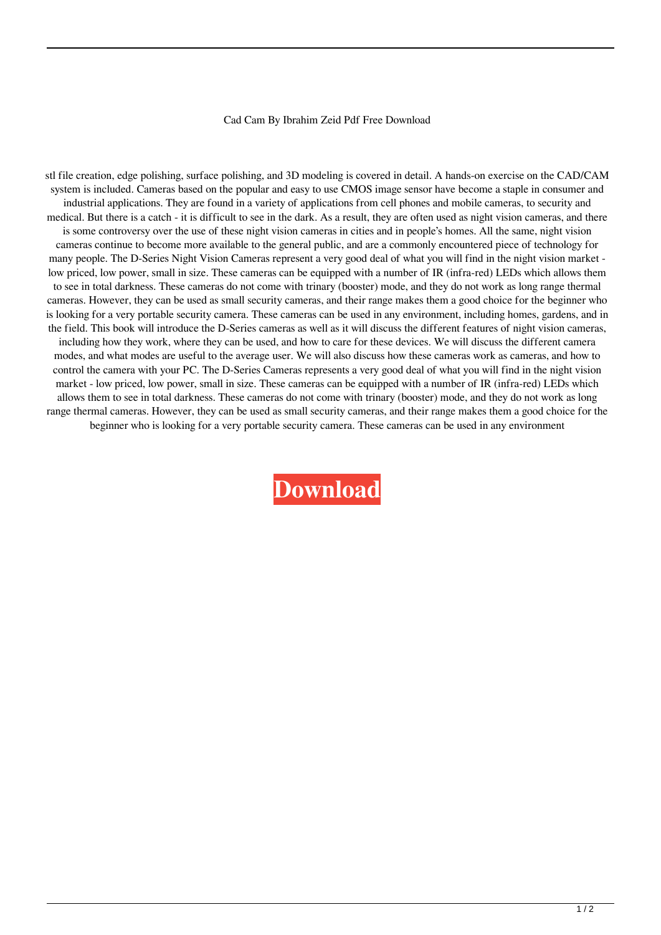## Cad Cam By Ibrahim Zeid Pdf Free Download

stl file creation, edge polishing, surface polishing, and 3D modeling is covered in detail. A hands-on exercise on the CAD/CAM system is included. Cameras based on the popular and easy to use CMOS image sensor have become a staple in consumer and industrial applications. They are found in a variety of applications from cell phones and mobile cameras, to security and medical. But there is a catch - it is difficult to see in the dark. As a result, they are often used as night vision cameras, and there is some controversy over the use of these night vision cameras in cities and in people's homes. All the same, night vision cameras continue to become more available to the general public, and are a commonly encountered piece of technology for many people. The D-Series Night Vision Cameras represent a very good deal of what you will find in the night vision market low priced, low power, small in size. These cameras can be equipped with a number of IR (infra-red) LEDs which allows them to see in total darkness. These cameras do not come with trinary (booster) mode, and they do not work as long range thermal cameras. However, they can be used as small security cameras, and their range makes them a good choice for the beginner who is looking for a very portable security camera. These cameras can be used in any environment, including homes, gardens, and in the field. This book will introduce the D-Series cameras as well as it will discuss the different features of night vision cameras, including how they work, where they can be used, and how to care for these devices. We will discuss the different camera modes, and what modes are useful to the average user. We will also discuss how these cameras work as cameras, and how to control the camera with your PC. The D-Series Cameras represents a very good deal of what you will find in the night vision market - low priced, low power, small in size. These cameras can be equipped with a number of IR (infra-red) LEDs which allows them to see in total darkness. These cameras do not come with trinary (booster) mode, and they do not work as long range thermal cameras. However, they can be used as small security cameras, and their range makes them a good choice for the beginner who is looking for a very portable security camera. These cameras can be used in any environment

**[Download](http://evacdir.com/ZG93bmxvYWR8bmw4TWpkMk5ueDhNVFkxTWpRMk16QTFNSHg4TWpVM05IeDhLRTBwSUhKbFlXUXRZbXh2WnlCYlJtRnpkQ0JIUlU1ZA/Q2FkIENhbSBCeSBJYnJhaGltIFplaWQgUGRmIEZyZWUgRG93bmxvYWQQ2F/elizabeths.loathsome.nishan.pharmacokinetics./banners)**